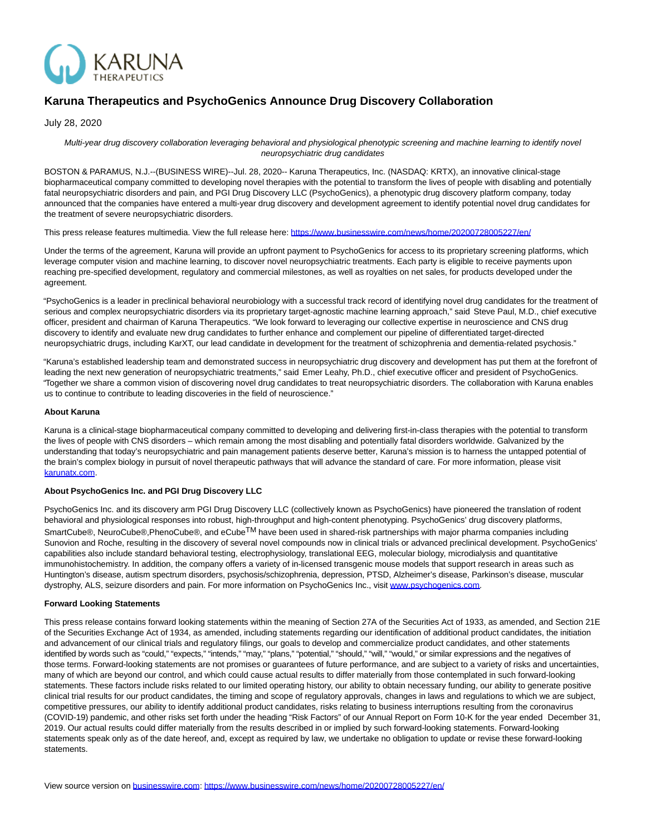

## **Karuna Therapeutics and PsychoGenics Announce Drug Discovery Collaboration**

July 28, 2020

Multi-year drug discovery collaboration leveraging behavioral and physiological phenotypic screening and machine learning to identify novel neuropsychiatric drug candidates

BOSTON & PARAMUS, N.J.--(BUSINESS WIRE)--Jul. 28, 2020-- Karuna Therapeutics, Inc. (NASDAQ: KRTX), an innovative clinical-stage biopharmaceutical company committed to developing novel therapies with the potential to transform the lives of people with disabling and potentially fatal neuropsychiatric disorders and pain, and PGI Drug Discovery LLC (PsychoGenics), a phenotypic drug discovery platform company, today announced that the companies have entered a multi-year drug discovery and development agreement to identify potential novel drug candidates for the treatment of severe neuropsychiatric disorders.

This press release features multimedia. View the full release here:<https://www.businesswire.com/news/home/20200728005227/en/>

Under the terms of the agreement, Karuna will provide an upfront payment to PsychoGenics for access to its proprietary screening platforms, which leverage computer vision and machine learning, to discover novel neuropsychiatric treatments. Each party is eligible to receive payments upon reaching pre-specified development, regulatory and commercial milestones, as well as royalties on net sales, for products developed under the agreement.

"PsychoGenics is a leader in preclinical behavioral neurobiology with a successful track record of identifying novel drug candidates for the treatment of serious and complex neuropsychiatric disorders via its proprietary target-agnostic machine learning approach," said Steve Paul, M.D., chief executive officer, president and chairman of Karuna Therapeutics. "We look forward to leveraging our collective expertise in neuroscience and CNS drug discovery to identify and evaluate new drug candidates to further enhance and complement our pipeline of differentiated target-directed neuropsychiatric drugs, including KarXT, our lead candidate in development for the treatment of schizophrenia and dementia-related psychosis."

"Karuna's established leadership team and demonstrated success in neuropsychiatric drug discovery and development has put them at the forefront of leading the next new generation of neuropsychiatric treatments," said Emer Leahy, Ph.D., chief executive officer and president of PsychoGenics. "Together we share a common vision of discovering novel drug candidates to treat neuropsychiatric disorders. The collaboration with Karuna enables us to continue to contribute to leading discoveries in the field of neuroscience."

## **About Karuna**

Karuna is a clinical-stage biopharmaceutical company committed to developing and delivering first-in-class therapies with the potential to transform the lives of people with CNS disorders – which remain among the most disabling and potentially fatal disorders worldwide. Galvanized by the understanding that today's neuropsychiatric and pain management patients deserve better, Karuna's mission is to harness the untapped potential of the brain's complex biology in pursuit of novel therapeutic pathways that will advance the standard of care. For more information, please visit [karunatx.com.](http://karunatx.com/)

## **About PsychoGenics Inc. and PGI Drug Discovery LLC**

PsychoGenics Inc. and its discovery arm PGI Drug Discovery LLC (collectively known as PsychoGenics) have pioneered the translation of rodent behavioral and physiological responses into robust, high-throughput and high-content phenotyping. PsychoGenics' drug discovery platforms, SmartCube®, NeuroCube®,PhenoCube®, and eCube<sup>TM</sup> have been used in shared-risk partnerships with major pharma companies including Sunovion and Roche, resulting in the discovery of several novel compounds now in clinical trials or advanced preclinical development. PsychoGenics' capabilities also include standard behavioral testing, electrophysiology, translational EEG, molecular biology, microdialysis and quantitative immunohistochemistry. In addition, the company offers a variety of in-licensed transgenic mouse models that support research in areas such as Huntington's disease, autism spectrum disorders, psychosis/schizophrenia, depression, PTSD, Alzheimer's disease, Parkinson's disease, muscular dystrophy, ALS, seizure disorders and pain. For more information on PsychoGenics Inc., visit [www.psychogenics.com.](https://cts.businesswire.com/ct/CT?id=smartlink&url=http%3A%2F%2Fwww.psychogenics.com&esheet=52256700&newsitemid=20200728005227&lan=en-US&anchor=www.psychogenics.com&index=1&md5=8be431755d20da55f8cc928627219413)

## **Forward Looking Statements**

This press release contains forward looking statements within the meaning of Section 27A of the Securities Act of 1933, as amended, and Section 21E of the Securities Exchange Act of 1934, as amended, including statements regarding our identification of additional product candidates, the initiation and advancement of our clinical trials and regulatory filings, our goals to develop and commercialize product candidates, and other statements identified by words such as "could," "expects," "intends," "may," "plans," "potential," "should," "will," "would," or similar expressions and the negatives of those terms. Forward-looking statements are not promises or guarantees of future performance, and are subject to a variety of risks and uncertainties, many of which are beyond our control, and which could cause actual results to differ materially from those contemplated in such forward-looking statements. These factors include risks related to our limited operating history, our ability to obtain necessary funding, our ability to generate positive clinical trial results for our product candidates, the timing and scope of regulatory approvals, changes in laws and regulations to which we are subject, competitive pressures, our ability to identify additional product candidates, risks relating to business interruptions resulting from the coronavirus (COVID-19) pandemic, and other risks set forth under the heading "Risk Factors" of our Annual Report on Form 10-K for the year ended December 31, 2019. Our actual results could differ materially from the results described in or implied by such forward-looking statements. Forward-looking statements speak only as of the date hereof, and, except as required by law, we undertake no obligation to update or revise these forward-looking statements.